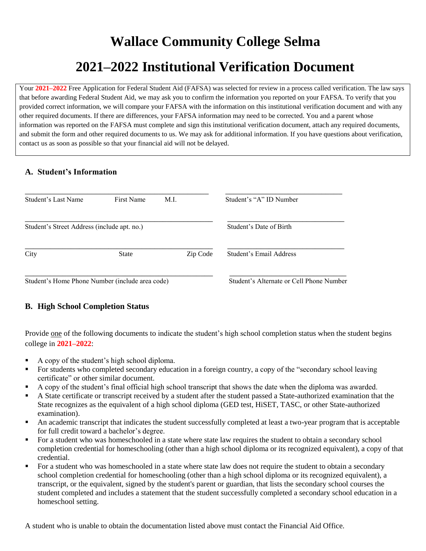# **Wallace Community College Selma 2021–2022 Institutional Verification Document**

Your **2021–2022** Free Application for Federal Student Aid (FAFSA) was selected for review in a process called verification. The law says that before awarding Federal Student Aid, we may ask you to confirm the information you reported on your FAFSA. To verify that you provided correct information, we will compare your FAFSA with the information on this institutional verification document and with any other required documents. If there are differences, your FAFSA information may need to be corrected. You and a parent whose information was reported on the FAFSA must complete and sign this institutional verification document, attach any required documents, and submit the form and other required documents to us. We may ask for additional information. If you have questions about verification, contact us as soon as possible so that your financial aid will not be delayed.

## **A. Student's Information**

| Student's Last Name                             | <b>First Name</b> | M.I.     | Student's "A" ID Number                  |
|-------------------------------------------------|-------------------|----------|------------------------------------------|
| Student's Street Address (include apt. no.)     |                   |          | Student's Date of Birth                  |
| City                                            | <b>State</b>      | Zip Code | Student's Email Address                  |
| Student's Home Phone Number (include area code) |                   |          | Student's Alternate or Cell Phone Number |

## **B. High School Completion Status**

Provide one of the following documents to indicate the student's high school completion status when the student begins college in **2021–2022**:

- A copy of the student's high school diploma.
- For students who completed secondary education in a foreign country, a copy of the "secondary school leaving certificate" or other similar document.
- A copy of the student's final official high school transcript that shows the date when the diploma was awarded.
- A State certificate or transcript received by a student after the student passed a State-authorized examination that the State recognizes as the equivalent of a high school diploma (GED test, HiSET, TASC, or other State-authorized examination).
- An academic transcript that indicates the student successfully completed at least a two-year program that is acceptable for full credit toward a bachelor's degree.
- For a student who was homeschooled in a state where state law requires the student to obtain a secondary school completion credential for homeschooling (other than a high school diploma or its recognized equivalent), a copy of that credential.
- For a student who was homeschooled in a state where state law does not require the student to obtain a secondary school completion credential for homeschooling (other than a high school diploma or its recognized equivalent), a transcript, or the equivalent, signed by the student's parent or guardian, that lists the secondary school courses the student completed and includes a statement that the student successfully completed a secondary school education in a homeschool setting.

A student who is unable to obtain the documentation listed above must contact the Financial Aid Office.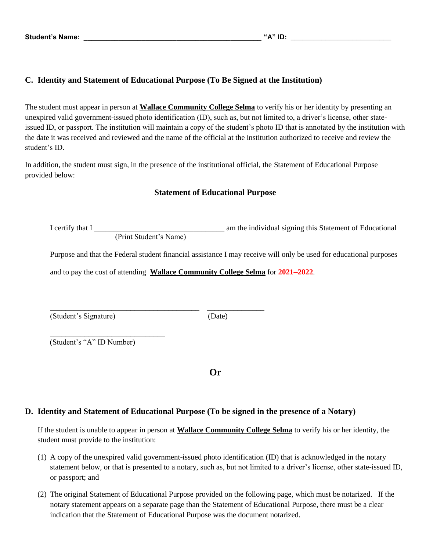#### **C. Identity and Statement of Educational Purpose (To Be Signed at the Institution)**

The student must appear in person at **Wallace Community College Selma** to verify his or her identity by presenting an unexpired valid government-issued photo identification (ID), such as, but not limited to, a driver's license, other stateissued ID, or passport. The institution will maintain a copy of the student's photo ID that is annotated by the institution with the date it was received and reviewed and the name of the official at the institution authorized to receive and review the student's ID.

In addition, the student must sign, in the presence of the institutional official, the Statement of Educational Purpose provided below:

#### **Statement of Educational Purpose**

I certify that I \_\_\_\_\_\_\_\_\_\_\_\_\_\_\_\_\_\_\_\_\_\_\_\_\_\_\_\_\_\_\_\_\_\_ am the individual signing this Statement of Educational

(Print Student's Name)

\_\_\_\_\_\_\_\_\_\_\_\_\_\_\_\_\_\_\_\_\_\_\_\_\_\_\_\_\_\_\_\_\_\_\_\_\_\_\_ \_\_\_\_\_\_\_\_\_\_\_\_\_\_\_

Purpose and that the Federal student financial assistance I may receive will only be used for educational purposes

and to pay the cost of attending **Wallace Community College Selma** for **2021–2022**.

(Student's Signature) (Date)

\_\_\_\_\_\_\_\_\_\_\_\_\_\_\_\_\_\_\_\_\_\_\_\_\_\_\_\_\_\_ (Student's "A" ID Number)

**Or**

#### **D. Identity and Statement of Educational Purpose (To be signed in the presence of a Notary)**

If the student is unable to appear in person at **Wallace Community College Selma** to verify his or her identity, the student must provide to the institution:

- (1) A copy of the unexpired valid government-issued photo identification (ID) that is acknowledged in the notary statement below, or that is presented to a notary, such as, but not limited to a driver's license, other state-issued ID, or passport; and
- (2) The original Statement of Educational Purpose provided on the following page, which must be notarized. If the notary statement appears on a separate page than the Statement of Educational Purpose, there must be a clear indication that the Statement of Educational Purpose was the document notarized.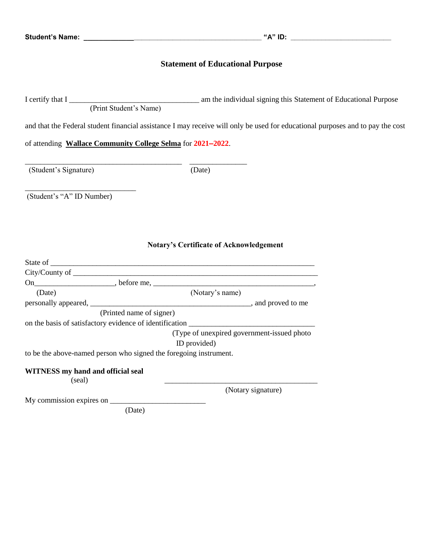# **Statement of Educational Purpose**

|                                                                   | (Print Student's Name)                                                                                                         |  |  |  |
|-------------------------------------------------------------------|--------------------------------------------------------------------------------------------------------------------------------|--|--|--|
|                                                                   | and that the Federal student financial assistance I may receive will only be used for educational purposes and to pay the cost |  |  |  |
| of attending Wallace Community College Selma for 2021-2022.       |                                                                                                                                |  |  |  |
| (Student's Signature)                                             | (Date)                                                                                                                         |  |  |  |
| (Student's "A" ID Number)                                         |                                                                                                                                |  |  |  |
|                                                                   |                                                                                                                                |  |  |  |
|                                                                   | <b>Notary's Certificate of Acknowledgement</b>                                                                                 |  |  |  |
|                                                                   |                                                                                                                                |  |  |  |
|                                                                   |                                                                                                                                |  |  |  |
|                                                                   |                                                                                                                                |  |  |  |
| (Date)                                                            | (Notary's name)                                                                                                                |  |  |  |
|                                                                   |                                                                                                                                |  |  |  |
|                                                                   | (Printed name of signer)                                                                                                       |  |  |  |
|                                                                   |                                                                                                                                |  |  |  |
|                                                                   | (Type of unexpired government-issued photo                                                                                     |  |  |  |
|                                                                   | ID provided)                                                                                                                   |  |  |  |
| to be the above-named person who signed the foregoing instrument. |                                                                                                                                |  |  |  |
| WITNESS my hand and official seal<br>(seal)                       |                                                                                                                                |  |  |  |
|                                                                   | (Notary signature)                                                                                                             |  |  |  |
| My commission expires on                                          |                                                                                                                                |  |  |  |
|                                                                   | (Date)                                                                                                                         |  |  |  |